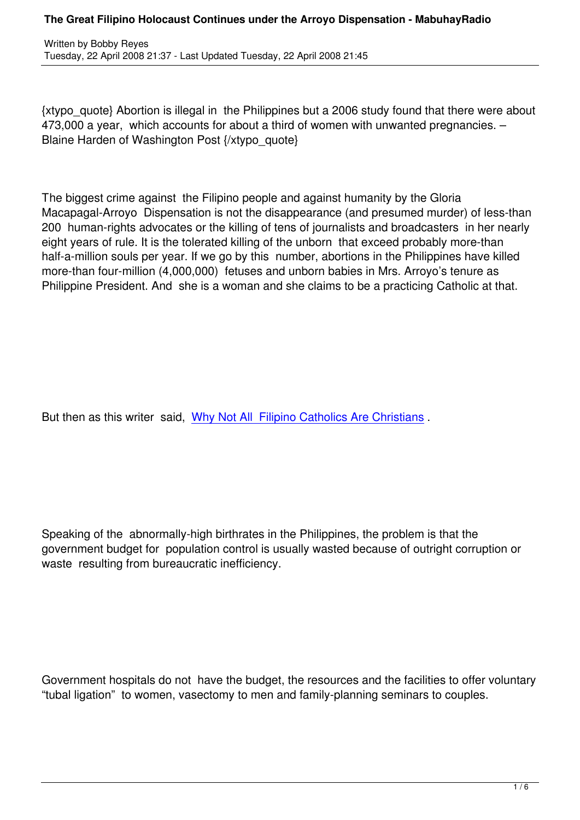{xtypo\_quote} Abortion is illegal in the Philippines but a 2006 study found that there were about 473,000 a year, which accounts for about a third of women with unwanted pregnancies. – Blaine Harden of Washington Post {/xtypo\_quote}

The biggest crime against the Filipino people and against humanity by the Gloria Macapagal-Arroyo Dispensation is not the disappearance (and presumed murder) of less-than 200 human-rights advocates or the killing of tens of journalists and broadcasters in her nearly eight years of rule. It is the tolerated killing of the unborn that exceed probably more-than half-a-million souls per year. If we go by this number, abortions in the Philippines have killed more-than four-million (4,000,000) fetuses and unborn babies in Mrs. Arroyo's tenure as Philippine President. And she is a woman and she claims to be a practicing Catholic at that.

But then as this writer said, Why Not All Filipino Catholics Are Christians .

Speaking of the abnormally-high birthrates in the Philippines, the problem is that the government budget for population control is usually wasted because of outright corruption or waste resulting from bureaucratic inefficiency.

Government hospitals do not have the budget, the resources and the facilities to offer voluntary "tubal ligation" to women, vasectomy to men and family-planning seminars to couples.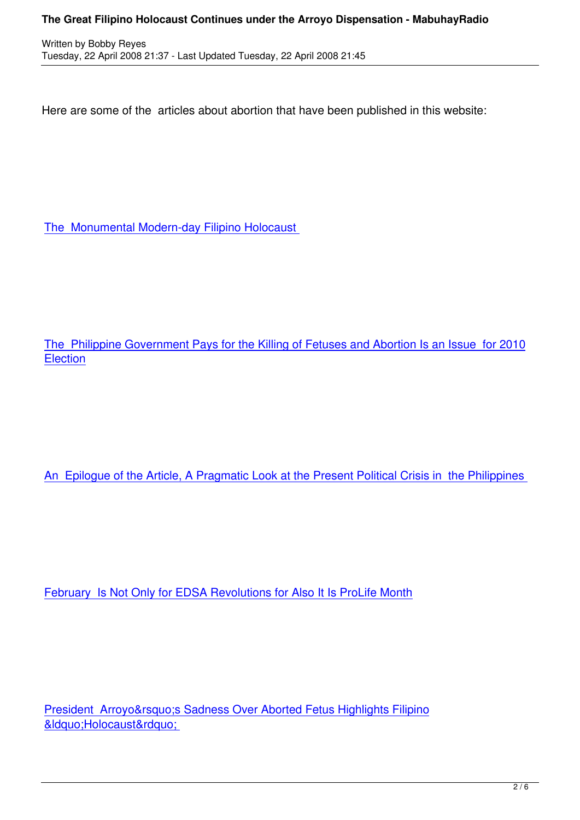Here are some of the articles about abortion that have been published in this website:

The Monumental Modern-day Filipino Holocaust

The Philippine Government Pays for the Killing of Fetuses and Abortion Is an Issue for 2010 **Election** 

An Epilogue of the Article, A Pragmatic Look at the Present Political Crisis in the Philippines

February Is Not Only for EDSA Revolutions for Also It Is ProLife Month

President Arroyo's Sadness Over Aborted Fetus Highlights Filipino &Idquo;Holocaust"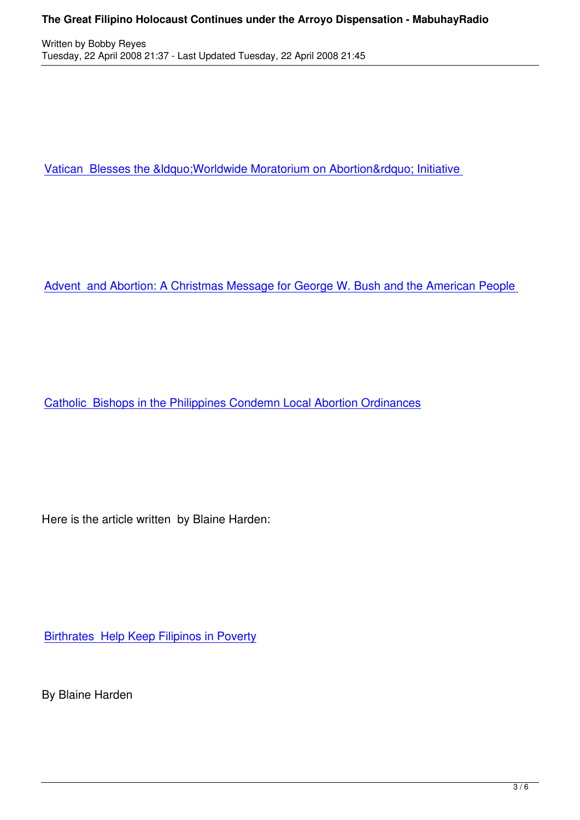Vatican Blesses the " Worldwide Moratorium on Abortion" Initiative

Advent and Abortion: A Christmas Message for George W. Bush and the American People

Catholic Bishops in the Philippines Condemn Local Abortion Ordinances

Here is the article written by Blaine Harden:

**Birthrates Help Keep Filipinos in Poverty** 

[By Blaine Harden](http://www.washingtonpost.com/wp-dyn/content/article/2008/04/20/AR2008042001930.html?referrer=emailarticle)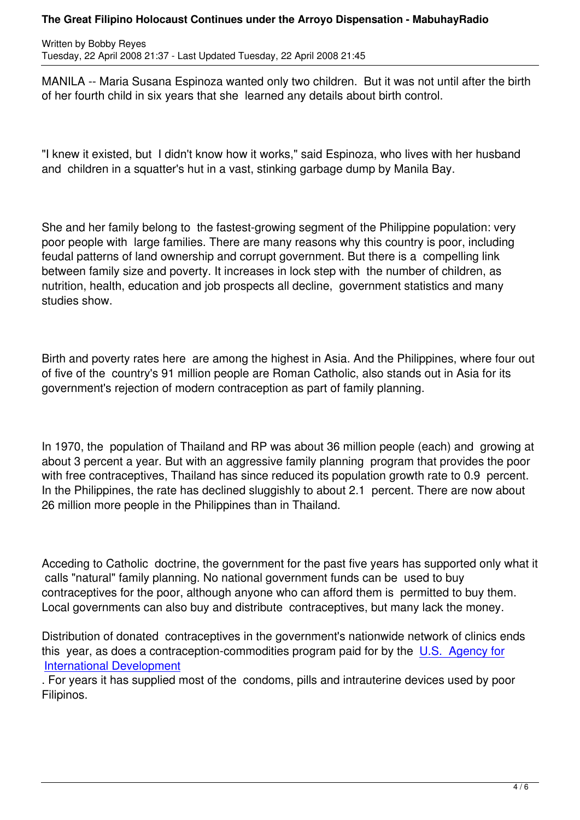MANILA -- Maria Susana Espinoza wanted only two children. But it was not until after the birth of her fourth child in six years that she learned any details about birth control.

"I knew it existed, but I didn't know how it works," said Espinoza, who lives with her husband and children in a squatter's hut in a vast, stinking garbage dump by Manila Bay.

She and her family belong to the fastest-growing segment of the Philippine population: very poor people with large families. There are many reasons why this country is poor, including feudal patterns of land ownership and corrupt government. But there is a compelling link between family size and poverty. It increases in lock step with the number of children, as nutrition, health, education and job prospects all decline, government statistics and many studies show.

Birth and poverty rates here are among the highest in Asia. And the Philippines, where four out of five of the country's 91 million people are Roman Catholic, also stands out in Asia for its government's rejection of modern contraception as part of family planning.

In 1970, the population of Thailand and RP was about 36 million people (each) and growing at about 3 percent a year. But with an aggressive family planning program that provides the poor with free contraceptives, Thailand has since reduced its population growth rate to 0.9 percent. In the Philippines, the rate has declined sluggishly to about 2.1 percent. There are now about 26 million more people in the Philippines than in Thailand.

Acceding to Catholic doctrine, the government for the past five years has supported only what it calls "natural" family planning. No national government funds can be used to buy contraceptives for the poor, although anyone who can afford them is permitted to buy them. Local governments can also buy and distribute contraceptives, but many lack the money.

Distribution of donated contraceptives in the government's nationwide network of clinics ends this year, as does a contraception-commodities program paid for by the U.S. Agency for International Development

. For years it has supplied most of the condoms, pills and intrauterine devices used by poor Filipinos.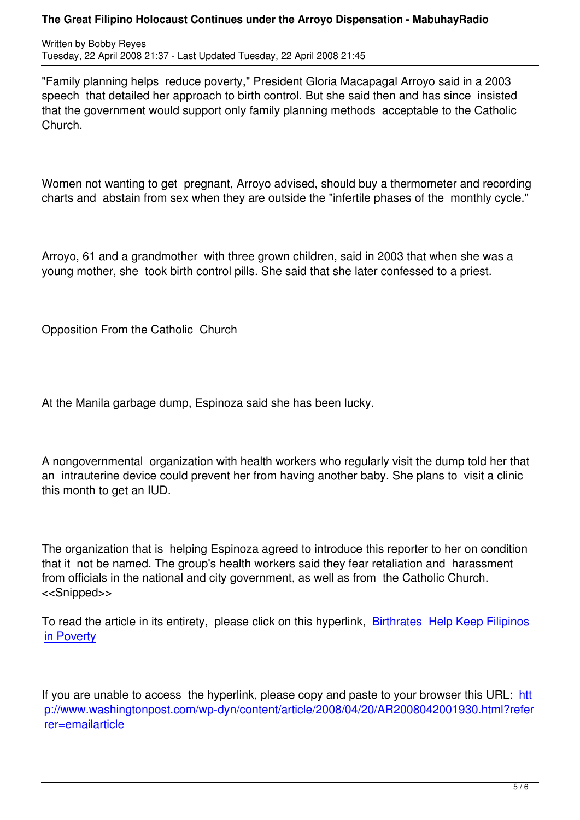"Family planning helps reduce poverty," President Gloria Macapagal Arroyo said in a 2003 speech that detailed her approach to birth control. But she said then and has since insisted that the government would support only family planning methods acceptable to the Catholic Church.

Women not wanting to get pregnant, Arroyo advised, should buy a thermometer and recording charts and abstain from sex when they are outside the "infertile phases of the monthly cycle."

Arroyo, 61 and a grandmother with three grown children, said in 2003 that when she was a young mother, she took birth control pills. She said that she later confessed to a priest.

Opposition From the Catholic Church

At the Manila garbage dump, Espinoza said she has been lucky.

A nongovernmental organization with health workers who regularly visit the dump told her that an intrauterine device could prevent her from having another baby. She plans to visit a clinic this month to get an IUD.

The organization that is helping Espinoza agreed to introduce this reporter to her on condition that it not be named. The group's health workers said they fear retaliation and harassment from officials in the national and city government, as well as from the Catholic Church. <<Snipped>>

To read the article in its entirety, please click on this hyperlink, Birthrates Help Keep Filipinos in Poverty

[If you are u](http://www.washingtonpost.com/wp-dyn/content/article/2008/04/20/AR2008042001930.html?referrer=emailarticle)nable to access the hyperlink, please copy and paste to your browser this URL: htt p://www.washingtonpost.com/wp-dyn/content/article/2008/04/20/AR2008042001930.html?refer rer=emailarticle